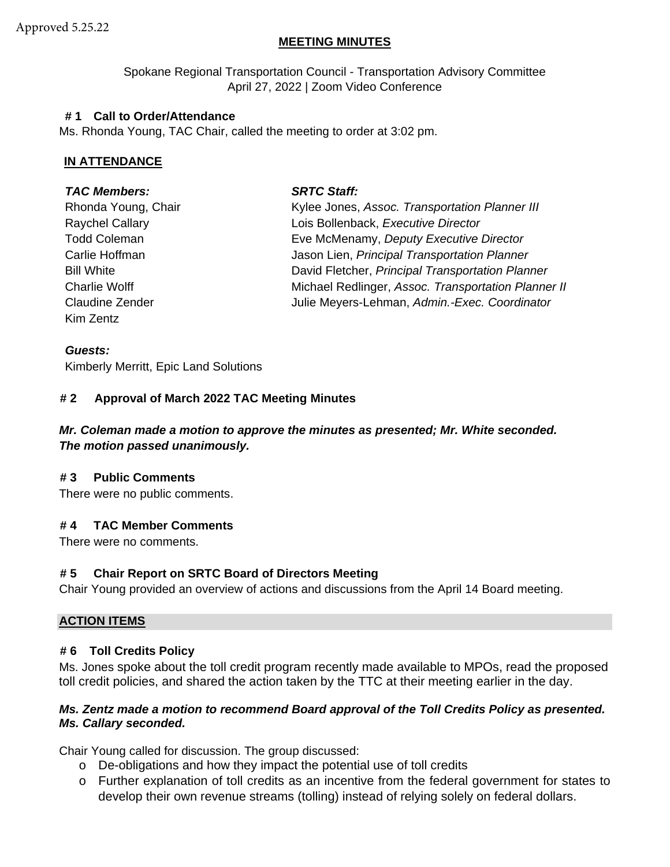# **MEETING MINUTES**

Spokane Regional Transportation Council - Transportation Advisory Committee April 27, 2022 | Zoom Video Conference

## **# 1 Call to Order/Attendance**

Ms. Rhonda Young, TAC Chair, called the meeting to order at 3:02 pm.

# **IN ATTENDANCE**

## *TAC Members: SRTC Staff:*

Kim Zentz

Rhonda Young, Chair **Kylee Jones, Assoc.** *Transportation Planner III* Raychel Callary Lois Bollenback, *Executive Director* Todd Coleman Eve McMenamy, *Deputy Executive Director* Carlie Hoffman Jason Lien, *Principal Transportation Planner* Bill White David Fletcher, *Principal Transportation Planner*  Charlie Wolff Michael Redlinger, *Assoc. Transportation Planner II* Claudine Zender Julie Meyers-Lehman, *Admin.-Exec. Coordinator*

### *Guests:*

Kimberly Merritt, Epic Land Solutions

## **# 2 Approval of March 2022 TAC Meeting Minutes**

# *Mr. Coleman made a motion to approve the minutes as presented; Mr. White seconded. The motion passed unanimously.*

## **# 3 Public Comments**

There were no public comments.

## **# 4 TAC Member Comments**

There were no comments.

## **# 5 Chair Report on SRTC Board of Directors Meeting**

Chair Young provided an overview of actions and discussions from the April 14 Board meeting.

## **ACTION ITEMS**

## **# 6 Toll Credits Policy**

Ms. Jones spoke about the toll credit program recently made available to MPOs, read the proposed toll credit policies, and shared the action taken by the TTC at their meeting earlier in the day.

### *Ms. Zentz made a motion to recommend Board approval of the Toll Credits Policy as presented. Ms. Callary seconded.*

Chair Young called for discussion. The group discussed:

- o De-obligations and how they impact the potential use of toll credits
- o Further explanation of toll credits as an incentive from the federal government for states to develop their own revenue streams (tolling) instead of relying solely on federal dollars.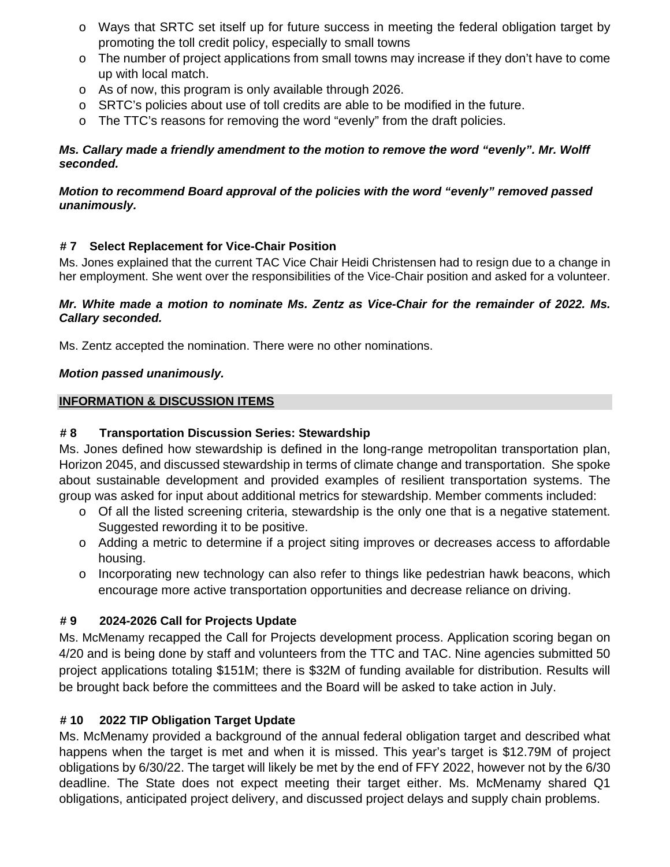- o Ways that SRTC set itself up for future success in meeting the federal obligation target by promoting the toll credit policy, especially to small towns
- o The number of project applications from small towns may increase if they don't have to come up with local match.
- o As of now, this program is only available through 2026.
- $\circ$  SRTC's policies about use of toll credits are able to be modified in the future.
- $\circ$  The TTC's reasons for removing the word "evenly" from the draft policies.

# *Ms. Callary made a friendly amendment to the motion to remove the word "evenly". Mr. Wolff seconded.*

# *Motion to recommend Board approval of the policies with the word "evenly" removed passed unanimously.*

# **# 7 Select Replacement for Vice-Chair Position**

Ms. Jones explained that the current TAC Vice Chair Heidi Christensen had to resign due to a change in her employment. She went over the responsibilities of the Vice-Chair position and asked for a volunteer.

## *Mr. White made a motion to nominate Ms. Zentz as Vice-Chair for the remainder of 2022. Ms. Callary seconded.*

Ms. Zentz accepted the nomination. There were no other nominations.

# *Motion passed unanimously.*

# **INFORMATION & DISCUSSION ITEMS**

# **# 8 Transportation Discussion Series: Stewardship**

Ms. Jones defined how stewardship is defined in the long-range metropolitan transportation plan, Horizon 2045, and discussed stewardship in terms of climate change and transportation. She spoke about sustainable development and provided examples of resilient transportation systems. The group was asked for input about additional metrics for stewardship. Member comments included:

- o Of all the listed screening criteria, stewardship is the only one that is a negative statement. Suggested rewording it to be positive.
- o Adding a metric to determine if a project siting improves or decreases access to affordable housing.
- o Incorporating new technology can also refer to things like pedestrian hawk beacons, which encourage more active transportation opportunities and decrease reliance on driving.

# **# 9 2024-2026 Call for Projects Update**

Ms. McMenamy recapped the Call for Projects development process. Application scoring began on 4/20 and is being done by staff and volunteers from the TTC and TAC. Nine agencies submitted 50 project applications totaling \$151M; there is \$32M of funding available for distribution. Results will be brought back before the committees and the Board will be asked to take action in July.

# **# 10 2022 TIP Obligation Target Update**

Ms. McMenamy provided a background of the annual federal obligation target and described what happens when the target is met and when it is missed. This year's target is \$12.79M of project obligations by 6/30/22. The target will likely be met by the end of FFY 2022, however not by the 6/30 deadline. The State does not expect meeting their target either. Ms. McMenamy shared Q1 obligations, anticipated project delivery, and discussed project delays and supply chain problems.